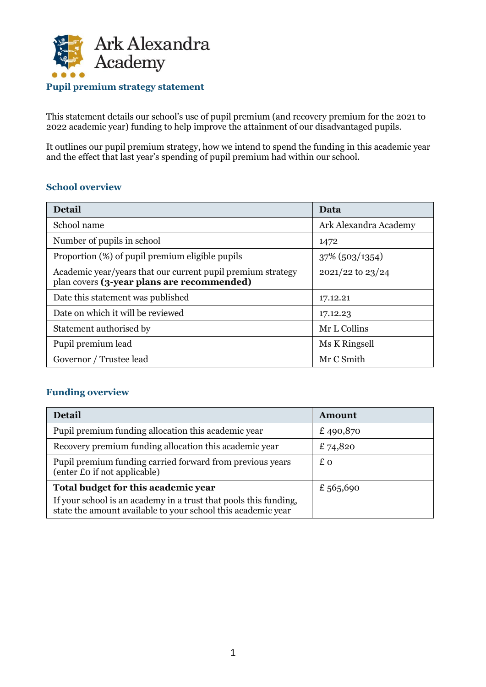

This statement details our school's use of pupil premium (and recovery premium for the 2021 to 2022 academic year) funding to help improve the attainment of our disadvantaged pupils.

It outlines our pupil premium strategy, how we intend to spend the funding in this academic year and the effect that last year's spending of pupil premium had within our school.

## **School overview**

| <b>Detail</b>                                                                                             | Data                  |
|-----------------------------------------------------------------------------------------------------------|-----------------------|
| School name                                                                                               | Ark Alexandra Academy |
| Number of pupils in school                                                                                | 1472                  |
| Proportion (%) of pupil premium eligible pupils                                                           | $37\%$ (503/1354)     |
| Academic year/years that our current pupil premium strategy<br>plan covers (3-year plans are recommended) | $2021/22$ to $23/24$  |
| Date this statement was published                                                                         | 17.12.21              |
| Date on which it will be reviewed                                                                         | 17.12.23              |
| Statement authorised by                                                                                   | Mr L Collins          |
| Pupil premium lead                                                                                        | Ms K Ringsell         |
| Governor / Trustee lead                                                                                   | Mr C Smith            |

#### **Funding overview**

| Detail                                                                                                                                                                  | Amount    |
|-------------------------------------------------------------------------------------------------------------------------------------------------------------------------|-----------|
| Pupil premium funding allocation this academic year                                                                                                                     | £490,870  |
| Recovery premium funding allocation this academic year                                                                                                                  | £ 74,820  |
| Pupil premium funding carried forward from previous years<br>(enter £0 if not applicable)                                                                               | £ο        |
| Total budget for this academic year<br>If your school is an academy in a trust that pools this funding,<br>state the amount available to your school this academic year | £ 565,690 |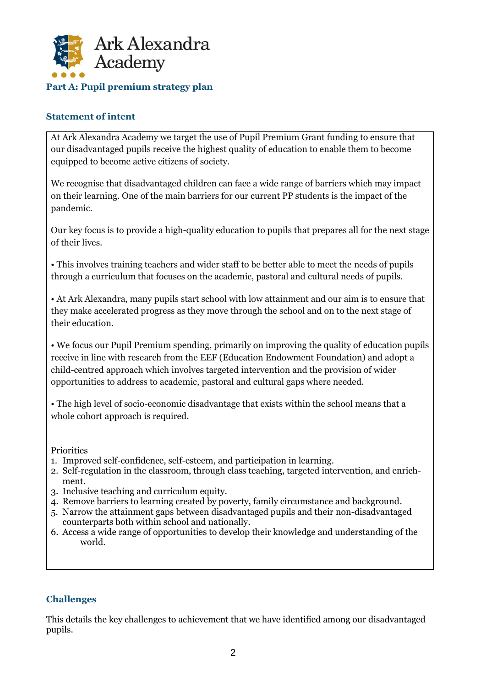

#### **Statement of intent**

At Ark Alexandra Academy we target the use of Pupil Premium Grant funding to ensure that our disadvantaged pupils receive the highest quality of education to enable them to become equipped to become active citizens of society.

We recognise that disadvantaged children can face a wide range of barriers which may impact on their learning. One of the main barriers for our current PP students is the impact of the pandemic.

Our key focus is to provide a high-quality education to pupils that prepares all for the next stage of their lives.

• This involves training teachers and wider staff to be better able to meet the needs of pupils through a curriculum that focuses on the academic, pastoral and cultural needs of pupils.

• At Ark Alexandra, many pupils start school with low attainment and our aim is to ensure that they make accelerated progress as they move through the school and on to the next stage of their education.

• We focus our Pupil Premium spending, primarily on improving the quality of education pupils receive in line with research from the EEF (Education Endowment Foundation) and adopt a child-centred approach which involves targeted intervention and the provision of wider opportunities to address to academic, pastoral and cultural gaps where needed.

• The high level of socio-economic disadvantage that exists within the school means that a whole cohort approach is required.

Priorities

- 1. Improved self-confidence, self-esteem, and participation in learning.
- 2. Self-regulation in the classroom, through class teaching, targeted intervention, and enrichment.
- 3. Inclusive teaching and curriculum equity.
- 4. Remove barriers to learning created by poverty, family circumstance and background.
- 5. Narrow the attainment gaps between disadvantaged pupils and their non-disadvantaged counterparts both within school and nationally.
- 6. Access a wide range of opportunities to develop their knowledge and understanding of the world.

#### **Challenges**

This details the key challenges to achievement that we have identified among our disadvantaged pupils.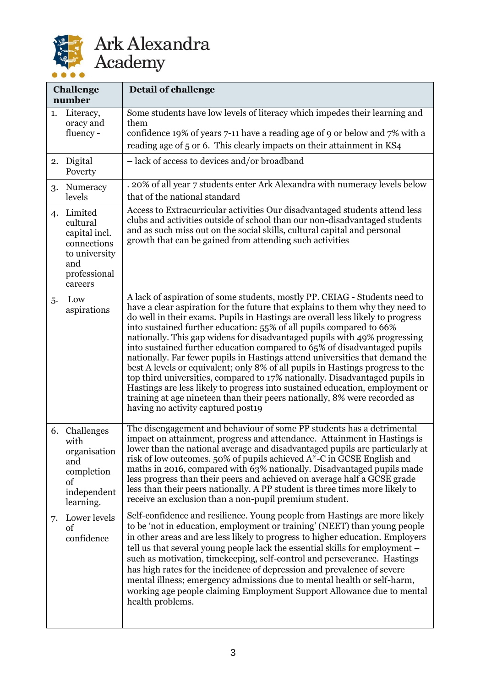

|    | <b>Challenge</b><br>number                                                                             | Detail of challenge                                                                                                                                                                                                                                                                                                                                                                                                                                                                                                                                                                                                                                                                                                                                                                                                                                                                                                               |
|----|--------------------------------------------------------------------------------------------------------|-----------------------------------------------------------------------------------------------------------------------------------------------------------------------------------------------------------------------------------------------------------------------------------------------------------------------------------------------------------------------------------------------------------------------------------------------------------------------------------------------------------------------------------------------------------------------------------------------------------------------------------------------------------------------------------------------------------------------------------------------------------------------------------------------------------------------------------------------------------------------------------------------------------------------------------|
| 1. | Literacy,<br>oracy and<br>fluency -                                                                    | Some students have low levels of literacy which impedes their learning and<br>them<br>confidence 19% of years 7-11 have a reading age of 9 or below and 7% with a<br>reading age of 5 or 6. This clearly impacts on their attainment in KS4                                                                                                                                                                                                                                                                                                                                                                                                                                                                                                                                                                                                                                                                                       |
|    | 2. Digital<br>Poverty                                                                                  | - lack of access to devices and/or broadband                                                                                                                                                                                                                                                                                                                                                                                                                                                                                                                                                                                                                                                                                                                                                                                                                                                                                      |
| 3. | Numeracy<br>levels                                                                                     | . 20% of all year 7 students enter Ark Alexandra with numeracy levels below<br>that of the national standard                                                                                                                                                                                                                                                                                                                                                                                                                                                                                                                                                                                                                                                                                                                                                                                                                      |
| 4. | Limited<br>cultural<br>capital incl.<br>connections<br>to university<br>and<br>professional<br>careers | Access to Extracurricular activities Our disadvantaged students attend less<br>clubs and activities outside of school than our non-disadvantaged students<br>and as such miss out on the social skills, cultural capital and personal<br>growth that can be gained from attending such activities                                                                                                                                                                                                                                                                                                                                                                                                                                                                                                                                                                                                                                 |
| 5. | Low<br>aspirations                                                                                     | A lack of aspiration of some students, mostly PP. CEIAG - Students need to<br>have a clear aspiration for the future that explains to them why they need to<br>do well in their exams. Pupils in Hastings are overall less likely to progress<br>into sustained further education: 55% of all pupils compared to 66%<br>nationally. This gap widens for disadvantaged pupils with 49% progressing<br>into sustained further education compared to 65% of disadvantaged pupils<br>nationally. Far fewer pupils in Hastings attend universities that demand the<br>best A levels or equivalent; only 8% of all pupils in Hastings progress to the<br>top third universities, compared to 17% nationally. Disadvantaged pupils in<br>Hastings are less likely to progress into sustained education, employment or<br>training at age nineteen than their peers nationally, 8% were recorded as<br>having no activity captured post19 |
| 6. | Challenges<br>with<br>organisation<br>and<br>completion<br>of<br>independent<br>learning.              | The disengagement and behaviour of some PP students has a detrimental<br>impact on attainment, progress and attendance. Attainment in Hastings is<br>lower than the national average and disadvantaged pupils are particularly at<br>risk of low outcomes. 50% of pupils achieved A*-C in GCSE English and<br>maths in 2016, compared with 63% nationally. Disadvantaged pupils made<br>less progress than their peers and achieved on average half a GCSE grade<br>less than their peers nationally. A PP student is three times more likely to<br>receive an exclusion than a non-pupil premium student.                                                                                                                                                                                                                                                                                                                        |
| 7. | Lower levels<br>of<br>confidence                                                                       | Self-confidence and resilience. Young people from Hastings are more likely<br>to be 'not in education, employment or training' (NEET) than young people<br>in other areas and are less likely to progress to higher education. Employers<br>tell us that several young people lack the essential skills for employment -<br>such as motivation, timekeeping, self-control and perseverance. Hastings<br>has high rates for the incidence of depression and prevalence of severe<br>mental illness; emergency admissions due to mental health or self-harm,<br>working age people claiming Employment Support Allowance due to mental<br>health problems.                                                                                                                                                                                                                                                                          |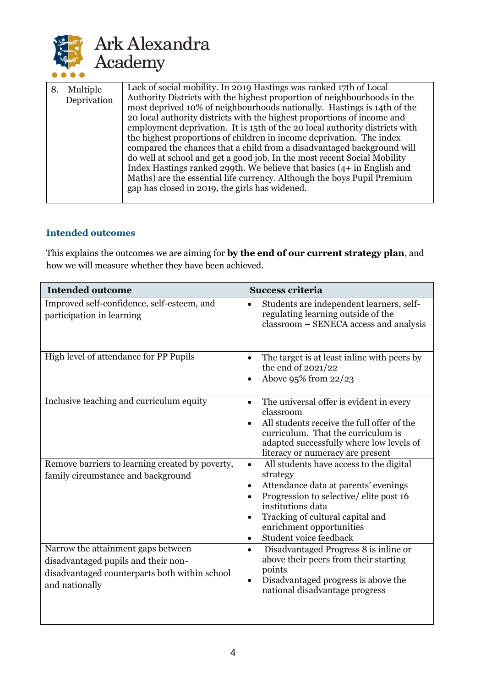

| 8. | Multiple<br>Deprivation | Lack of social mobility. In 2019 Hastings was ranked 17th of Local<br>Authority Districts with the highest proportion of neighbourhoods in the<br>most deprived 10% of neighbourhoods nationally. Hastings is 14th of the<br>20 local authority districts with the highest proportions of income and<br>employment deprivation. It is 15th of the 20 local authority districts with<br>the highest proportions of children in income deprivation. The index<br>compared the chances that a child from a disadvantaged background will<br>do well at school and get a good job. In the most recent Social Mobility<br>Index Hastings ranked 299th. We believe that basics $(4 + in$ English and<br>Maths) are the essential life currency. Although the boys Pupil Premium<br>gap has closed in 2019, the girls has widened. |
|----|-------------------------|-----------------------------------------------------------------------------------------------------------------------------------------------------------------------------------------------------------------------------------------------------------------------------------------------------------------------------------------------------------------------------------------------------------------------------------------------------------------------------------------------------------------------------------------------------------------------------------------------------------------------------------------------------------------------------------------------------------------------------------------------------------------------------------------------------------------------------|
|----|-------------------------|-----------------------------------------------------------------------------------------------------------------------------------------------------------------------------------------------------------------------------------------------------------------------------------------------------------------------------------------------------------------------------------------------------------------------------------------------------------------------------------------------------------------------------------------------------------------------------------------------------------------------------------------------------------------------------------------------------------------------------------------------------------------------------------------------------------------------------|

## **Intended outcomes**

This explains the outcomes we are aiming for **by the end of our current strategy plan**, and how we will measure whether they have been achieved.

| <b>Intended outcome</b>                                                                                                                      | <b>Success criteria</b>                                                                                                                                                                                                                                                                                               |
|----------------------------------------------------------------------------------------------------------------------------------------------|-----------------------------------------------------------------------------------------------------------------------------------------------------------------------------------------------------------------------------------------------------------------------------------------------------------------------|
| Improved self-confidence, self-esteem, and<br>participation in learning                                                                      | Students are independent learners, self-<br>$\bullet$<br>regulating learning outside of the<br>classroom – SENECA access and analysis                                                                                                                                                                                 |
| High level of attendance for PP Pupils                                                                                                       | The target is at least inline with peers by<br>$\bullet$<br>the end of 2021/22<br>Above 95% from 22/23<br>$\bullet$                                                                                                                                                                                                   |
| Inclusive teaching and curriculum equity                                                                                                     | The universal offer is evident in every<br>$\bullet$<br>classroom<br>All students receive the full offer of the<br>curriculum. That the curriculum is<br>adapted successfully where low levels of<br>literacy or numeracy are present                                                                                 |
| Remove barriers to learning created by poverty,<br>family circumstance and background                                                        | All students have access to the digital<br>$\bullet$<br>strategy<br>Attendance data at parents' evenings<br>$\bullet$<br>Progression to selective/elite post 16<br>$\bullet$<br>institutions data<br>Tracking of cultural capital and<br>$\bullet$<br>enrichment opportunities<br>Student voice feedback<br>$\bullet$ |
| Narrow the attainment gaps between<br>disadvantaged pupils and their non-<br>disadvantaged counterparts both within school<br>and nationally | Disadvantaged Progress 8 is inline or<br>$\bullet$<br>above their peers from their starting<br>points<br>Disadvantaged progress is above the<br>$\bullet$<br>national disadvantage progress                                                                                                                           |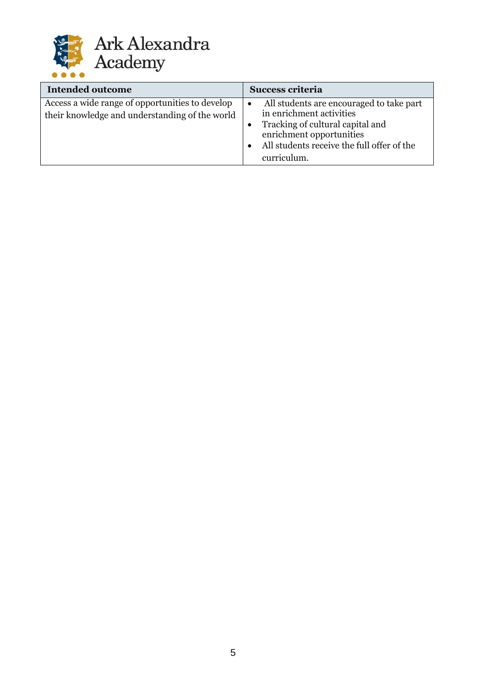

| <b>Intended outcome</b>                                                                           | <b>Success criteria</b>                                                                                                                                                                           |
|---------------------------------------------------------------------------------------------------|---------------------------------------------------------------------------------------------------------------------------------------------------------------------------------------------------|
| Access a wide range of opportunities to develop<br>their knowledge and understanding of the world | All students are encouraged to take part<br>in enrichment activities<br>Tracking of cultural capital and<br>enrichment opportunities<br>All students receive the full offer of the<br>curriculum. |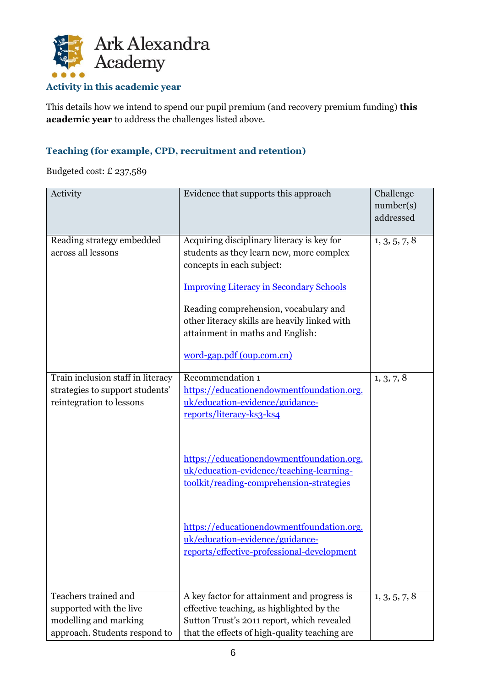

# **Activity in this academic year**

This details how we intend to spend our pupil premium (and recovery premium funding) **this academic year** to address the challenges listed above.

# **Teaching (for example, CPD, recruitment and retention)**

Budgeted cost: £ 237,589

| Activity                                                                                                  | Evidence that supports this approach                                                                                                                                                                                                                                                                                             | Challenge<br>number(s)<br>addressed |
|-----------------------------------------------------------------------------------------------------------|----------------------------------------------------------------------------------------------------------------------------------------------------------------------------------------------------------------------------------------------------------------------------------------------------------------------------------|-------------------------------------|
| Reading strategy embedded<br>across all lessons                                                           | Acquiring disciplinary literacy is key for<br>students as they learn new, more complex<br>concepts in each subject:<br><b>Improving Literacy in Secondary Schools</b><br>Reading comprehension, vocabulary and<br>other literacy skills are heavily linked with<br>attainment in maths and English:<br>word-gap.pdf (oup.com.cn) | 1, 3, 5, 7, 8                       |
| Train inclusion staff in literacy<br>strategies to support students'<br>reintegration to lessons          | Recommendation 1<br>https://educationendowmentfoundation.org.<br>uk/education-evidence/guidance-<br>reports/literacy-ks3-ks4                                                                                                                                                                                                     | 1, 3, 7, 8                          |
|                                                                                                           | https://educationendowmentfoundation.org.<br>uk/education-evidence/teaching-learning-<br>toolkit/reading-comprehension-strategies                                                                                                                                                                                                |                                     |
|                                                                                                           | https://educationendowmentfoundation.org.<br>uk/education-evidence/guidance-<br>reports/effective-professional-development                                                                                                                                                                                                       |                                     |
| Teachers trained and<br>supported with the live<br>modelling and marking<br>approach. Students respond to | A key factor for attainment and progress is<br>effective teaching, as highlighted by the<br>Sutton Trust's 2011 report, which revealed<br>that the effects of high-quality teaching are                                                                                                                                          | 1, 3, 5, 7, 8                       |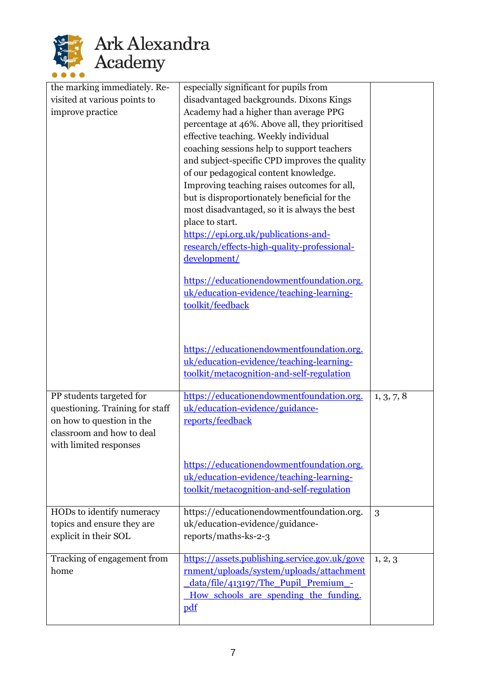

| the marking immediately. Re-    | especially significant for pupils from                                                    |            |
|---------------------------------|-------------------------------------------------------------------------------------------|------------|
| visited at various points to    | disadvantaged backgrounds. Dixons Kings                                                   |            |
| improve practice                | Academy had a higher than average PPG                                                     |            |
|                                 | percentage at 46%. Above all, they prioritised                                            |            |
|                                 | effective teaching. Weekly individual                                                     |            |
|                                 | coaching sessions help to support teachers                                                |            |
|                                 | and subject-specific CPD improves the quality                                             |            |
|                                 | of our pedagogical content knowledge.                                                     |            |
|                                 | Improving teaching raises outcomes for all,                                               |            |
|                                 | but is disproportionately beneficial for the                                              |            |
|                                 | most disadvantaged, so it is always the best                                              |            |
|                                 | place to start.                                                                           |            |
|                                 | https://epi.org.uk/publications-and-                                                      |            |
|                                 | research/effects-high-quality-professional-                                               |            |
|                                 | development/                                                                              |            |
|                                 | https://educationendowmentfoundation.org.                                                 |            |
|                                 | uk/education-evidence/teaching-learning-                                                  |            |
|                                 | toolkit/feedback                                                                          |            |
|                                 |                                                                                           |            |
|                                 |                                                                                           |            |
|                                 |                                                                                           |            |
|                                 | https://educationendowmentfoundation.org.<br>uk/education-evidence/teaching-learning-     |            |
|                                 | toolkit/metacognition-and-self-regulation                                                 |            |
|                                 |                                                                                           |            |
| PP students targeted for        | https://educationendowmentfoundation.org.                                                 | 1, 3, 7, 8 |
| questioning. Training for staff | uk/education-evidence/guidance-                                                           |            |
| on how to question in the       | reports/feedback                                                                          |            |
| classroom and how to deal       |                                                                                           |            |
| with limited responses          |                                                                                           |            |
|                                 | https://educationendowmentfoundation.org.                                                 |            |
|                                 | uk/education-evidence/teaching-learning-                                                  |            |
|                                 | toolkit/metacognition-and-self-regulation                                                 |            |
|                                 |                                                                                           |            |
| HODs to identify numeracy       | https://educationendowmentfoundation.org.                                                 | 3          |
| topics and ensure they are      | uk/education-evidence/guidance-                                                           |            |
| explicit in their SOL           | reports/maths-ks-2-3                                                                      |            |
|                                 |                                                                                           |            |
| Tracking of engagement from     | https://assets.publishing.service.gov.uk/gove<br>rnment/uploads/system/uploads/attachment | 1, 2, 3    |
| home                            | data/file/413197/The Pupil Premium -                                                      |            |
|                                 | How schools are spending the funding.                                                     |            |
|                                 | pdf                                                                                       |            |
|                                 |                                                                                           |            |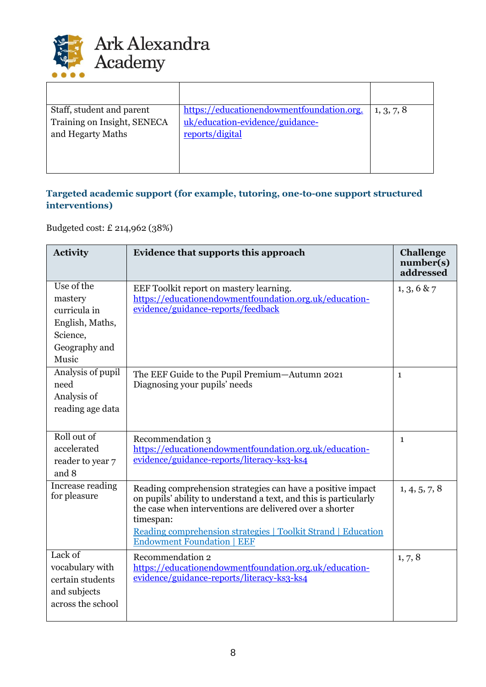

| Staff, student and parent   | https://educationendowmentfoundation.org. | 1, 3, 7, 8 |
|-----------------------------|-------------------------------------------|------------|
| Training on Insight, SENECA | uk/education-evidence/guidance-           |            |
| and Hegarty Maths           | reports/digital                           |            |
|                             |                                           |            |
|                             |                                           |            |
|                             |                                           |            |

# **Targeted academic support (for example, tutoring, one-to-one support structured interventions)**

Budgeted cost: £ 214,962 (38%)

| <b>Activity</b>                                                                                                     | Evidence that supports this approach                                                                                                                                                                                                                                                                            | <b>Challenge</b><br>number(s)<br>addressed |
|---------------------------------------------------------------------------------------------------------------------|-----------------------------------------------------------------------------------------------------------------------------------------------------------------------------------------------------------------------------------------------------------------------------------------------------------------|--------------------------------------------|
| Use of the<br>mastery<br>curricula in<br>English, Maths,<br>Science,<br>Geography and<br>Music<br>Analysis of pupil | EEF Toolkit report on mastery learning.<br>https://educationendowmentfoundation.org.uk/education-<br>evidence/guidance-reports/feedback                                                                                                                                                                         | 1, 3, 6 & 7                                |
| need<br>Analysis of<br>reading age data                                                                             | The EEF Guide to the Pupil Premium-Autumn 2021<br>Diagnosing your pupils' needs                                                                                                                                                                                                                                 | $\mathbf{1}$                               |
| Roll out of<br>accelerated<br>reader to year 7<br>and 8                                                             | Recommendation 3<br>https://educationendowmentfoundation.org.uk/education-<br>evidence/guidance-reports/literacy-ks3-ks4                                                                                                                                                                                        | $\mathbf{1}$                               |
| Increase reading<br>for pleasure                                                                                    | Reading comprehension strategies can have a positive impact<br>on pupils' ability to understand a text, and this is particularly<br>the case when interventions are delivered over a shorter<br>timespan:<br>Reading comprehension strategies   Toolkit Strand   Education<br><b>Endowment Foundation   EEF</b> | 1, 4, 5, 7, 8                              |
| Lack of<br>vocabulary with<br>certain students<br>and subjects<br>across the school                                 | Recommendation 2<br>https://educationendowmentfoundation.org.uk/education-<br>evidence/guidance-reports/literacy-ks3-ks4                                                                                                                                                                                        | 1, 7, 8                                    |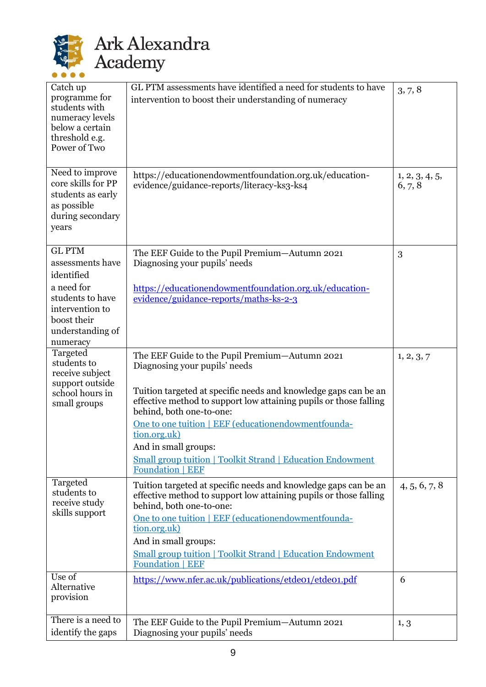

# Ark Alexandra<br>Academy

| Catch up                              | GL PTM assessments have identified a need for students to have                                       | 3, 7, 8                   |
|---------------------------------------|------------------------------------------------------------------------------------------------------|---------------------------|
| programme for<br>students with        | intervention to boost their understanding of numeracy                                                |                           |
| numeracy levels<br>below a certain    |                                                                                                      |                           |
| threshold e.g.                        |                                                                                                      |                           |
| Power of Two                          |                                                                                                      |                           |
|                                       |                                                                                                      |                           |
| Need to improve<br>core skills for PP | https://educationendowmentfoundation.org.uk/education-<br>evidence/guidance-reports/literacy-ks3-ks4 | 1, 2, 3, 4, 5,<br>6, 7, 8 |
| students as early                     |                                                                                                      |                           |
| as possible                           |                                                                                                      |                           |
| during secondary<br>years             |                                                                                                      |                           |
|                                       |                                                                                                      |                           |
| <b>GL PTM</b>                         | The EEF Guide to the Pupil Premium-Autumn 2021                                                       | 3                         |
| assessments have<br>identified        | Diagnosing your pupils' needs                                                                        |                           |
| a need for                            | https://educationendowmentfoundation.org.uk/education-                                               |                           |
| students to have                      | evidence/guidance-reports/maths-ks-2-3                                                               |                           |
| intervention to<br>boost their        |                                                                                                      |                           |
| understanding of                      |                                                                                                      |                           |
| numeracy                              |                                                                                                      |                           |
| Targeted<br>students to               | The EEF Guide to the Pupil Premium-Autumn 2021                                                       | 1, 2, 3, 7                |
| receive subject                       | Diagnosing your pupils' needs                                                                        |                           |
| support outside<br>school hours in    | Tuition targeted at specific needs and knowledge gaps can be an                                      |                           |
| small groups                          | effective method to support low attaining pupils or those falling<br>behind, both one-to-one:        |                           |
|                                       | One to one tuition   EEF (educationendowmentfounda-                                                  |                           |
|                                       | tion.org.uk)                                                                                         |                           |
|                                       | And in small groups:<br><b>Small group tuition   Toolkit Strand   Education Endowment</b>            |                           |
|                                       | <b>Foundation   EEF</b>                                                                              |                           |
| Targeted<br>students to               | Tuition targeted at specific needs and knowledge gaps can be an                                      | 4, 5, 6, 7, 8             |
| receive study                         | effective method to support low attaining pupils or those falling<br>behind, both one-to-one:        |                           |
| skills support                        | One to one tuition   EEF (educationendowmentfounda-                                                  |                           |
|                                       | tion.org.uk)                                                                                         |                           |
|                                       | And in small groups:                                                                                 |                           |
|                                       | <b>Small group tuition   Toolkit Strand   Education Endowment</b><br><b>Foundation   EEF</b>         |                           |
| Use of<br>Alternative                 | https://www.nfer.ac.uk/publications/etde01/etde01.pdf                                                | 6                         |
| provision                             |                                                                                                      |                           |
| There is a need to                    | The EEF Guide to the Pupil Premium-Autumn 2021                                                       | 1, 3                      |
| identify the gaps                     | Diagnosing your pupils' needs                                                                        |                           |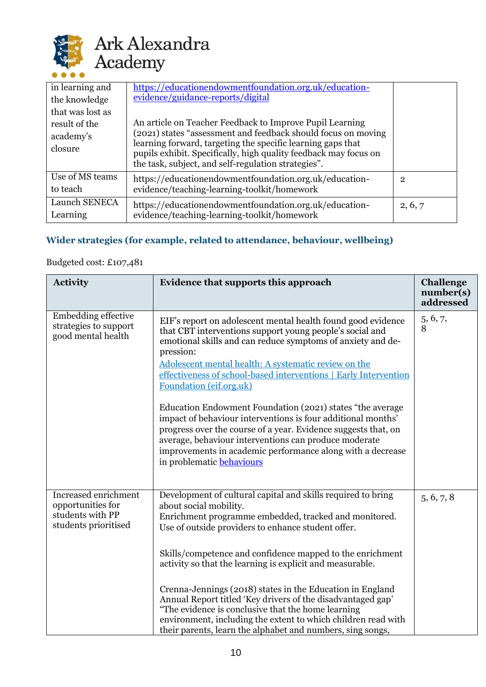

| in learning and<br>the knowledge<br>that was lost as<br>result of the<br>academy's<br>closure | https://educationendowmentfoundation.org.uk/education-<br>evidence/guidance-reports/digital<br>An article on Teacher Feedback to Improve Pupil Learning<br>(2021) states "assessment and feedback should focus on moving<br>learning forward, targeting the specific learning gaps that<br>pupils exhibit. Specifically, high quality feedback may focus on<br>the task, subject, and self-regulation strategies". |         |
|-----------------------------------------------------------------------------------------------|--------------------------------------------------------------------------------------------------------------------------------------------------------------------------------------------------------------------------------------------------------------------------------------------------------------------------------------------------------------------------------------------------------------------|---------|
| Use of MS teams<br>to teach                                                                   | https://educationendowmentfoundation.org.uk/education-<br>evidence/teaching-learning-toolkit/homework                                                                                                                                                                                                                                                                                                              | 2       |
| Launch SENECA<br>Learning                                                                     | https://educationendowmentfoundation.org.uk/education-<br>evidence/teaching-learning-toolkit/homework                                                                                                                                                                                                                                                                                                              | 2, 6, 7 |

# **Wider strategies (for example, related to attendance, behaviour, wellbeing)**

## Budgeted cost: £107,481

| <b>Activity</b>                                                                       | Evidence that supports this approach                                                                                                                                                                                                                                                                                                                                                                                                                                                                                                                                                                                                                                                                           | <b>Challenge</b><br>number(s)<br>addressed |
|---------------------------------------------------------------------------------------|----------------------------------------------------------------------------------------------------------------------------------------------------------------------------------------------------------------------------------------------------------------------------------------------------------------------------------------------------------------------------------------------------------------------------------------------------------------------------------------------------------------------------------------------------------------------------------------------------------------------------------------------------------------------------------------------------------------|--------------------------------------------|
| <b>Embedding effective</b><br>strategies to support<br>good mental health             | EIF's report on adolescent mental health found good evidence<br>that CBT interventions support young people's social and<br>emotional skills and can reduce symptoms of anxiety and de-<br>pression:<br>Adolescent mental health: A systematic review on the<br>effectiveness of school-based interventions   Early Intervention<br>Foundation (eif.org.uk)<br>Education Endowment Foundation (2021) states "the average<br>impact of behaviour interventions is four additional months'<br>progress over the course of a year. Evidence suggests that, on<br>average, behaviour interventions can produce moderate<br>improvements in academic performance along with a decrease<br>in problematic behaviours | 5, 6, 7,<br>8                              |
| Increased enrichment<br>opportunities for<br>students with PP<br>students prioritised | Development of cultural capital and skills required to bring<br>about social mobility.<br>Enrichment programme embedded, tracked and monitored.<br>Use of outside providers to enhance student offer.<br>Skills/competence and confidence mapped to the enrichment<br>activity so that the learning is explicit and measurable.<br>Crenna-Jennings (2018) states in the Education in England<br>Annual Report titled 'Key drivers of the disadvantaged gap'<br>"The evidence is conclusive that the home learning"<br>environment, including the extent to which children read with<br>their parents, learn the alphabet and numbers, sing songs,                                                              | 5, 6, 7, 8                                 |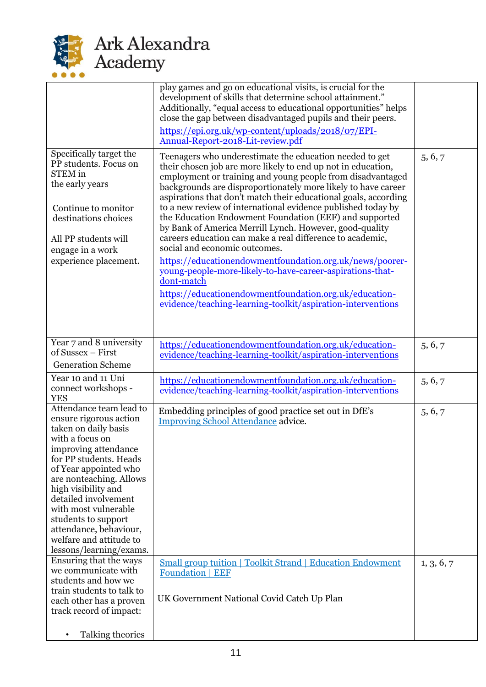

|                                                                                                                                                                                                                                                                                                                                                                                  | play games and go on educational visits, is crucial for the<br>development of skills that determine school attainment."<br>Additionally, "equal access to educational opportunities" helps<br>close the gap between disadvantaged pupils and their peers.<br>https://epi.org.uk/wp-content/uploads/2018/07/EPI-<br>Annual-Report-2018-Lit-review.pdf                                                                                                                                                                                                                                                                                                                                                                                                                                                                                                                         |            |
|----------------------------------------------------------------------------------------------------------------------------------------------------------------------------------------------------------------------------------------------------------------------------------------------------------------------------------------------------------------------------------|------------------------------------------------------------------------------------------------------------------------------------------------------------------------------------------------------------------------------------------------------------------------------------------------------------------------------------------------------------------------------------------------------------------------------------------------------------------------------------------------------------------------------------------------------------------------------------------------------------------------------------------------------------------------------------------------------------------------------------------------------------------------------------------------------------------------------------------------------------------------------|------------|
| Specifically target the<br>PP students. Focus on<br><b>STEM</b> in<br>the early years<br>Continue to monitor<br>destinations choices<br>All PP students will<br>engage in a work<br>experience placement.                                                                                                                                                                        | Teenagers who underestimate the education needed to get<br>their chosen job are more likely to end up not in education,<br>employment or training and young people from disadvantaged<br>backgrounds are disproportionately more likely to have career<br>aspirations that don't match their educational goals, according<br>to a new review of international evidence published today by<br>the Education Endowment Foundation (EEF) and supported<br>by Bank of America Merrill Lynch. However, good-quality<br>careers education can make a real difference to academic,<br>social and economic outcomes.<br>https://educationendowmentfoundation.org.uk/news/poorer-<br>young-people-more-likely-to-have-career-aspirations-that-<br>dont-match<br>https://educationendowmentfoundation.org.uk/education-<br>evidence/teaching-learning-toolkit/aspiration-interventions | 5, 6, 7    |
| Year 7 and 8 university<br>of Sussex - First<br><b>Generation Scheme</b>                                                                                                                                                                                                                                                                                                         | https://educationendowmentfoundation.org.uk/education-<br>evidence/teaching-learning-toolkit/aspiration-interventions                                                                                                                                                                                                                                                                                                                                                                                                                                                                                                                                                                                                                                                                                                                                                        | 5, 6, 7    |
| Year 10 and 11 Uni<br>connect workshops -<br><b>YES</b>                                                                                                                                                                                                                                                                                                                          | https://educationendowmentfoundation.org.uk/education-<br>evidence/teaching-learning-toolkit/aspiration-interventions                                                                                                                                                                                                                                                                                                                                                                                                                                                                                                                                                                                                                                                                                                                                                        | 5, 6, 7    |
| Attendance team lead to<br>ensure rigorous action<br>taken on daily basis<br>with a focus on<br>improving attendance<br>for PP students. Heads<br>of Year appointed who<br>are nonteaching. Allows<br>high visibility and<br>detailed involvement<br>with most vulnerable<br>students to support<br>attendance, behaviour,<br>welfare and attitude to<br>lessons/learning/exams. | Embedding principles of good practice set out in DfE's<br><b>Improving School Attendance advice.</b>                                                                                                                                                                                                                                                                                                                                                                                                                                                                                                                                                                                                                                                                                                                                                                         | 5, 6, 7    |
| Ensuring that the ways<br>we communicate with<br>students and how we<br>train students to talk to<br>each other has a proven<br>track record of impact:                                                                                                                                                                                                                          | <b>Small group tuition   Toolkit Strand   Education Endowment</b><br><b>Foundation   EEF</b><br>UK Government National Covid Catch Up Plan                                                                                                                                                                                                                                                                                                                                                                                                                                                                                                                                                                                                                                                                                                                                   | 1, 3, 6, 7 |
| Talking theories                                                                                                                                                                                                                                                                                                                                                                 |                                                                                                                                                                                                                                                                                                                                                                                                                                                                                                                                                                                                                                                                                                                                                                                                                                                                              |            |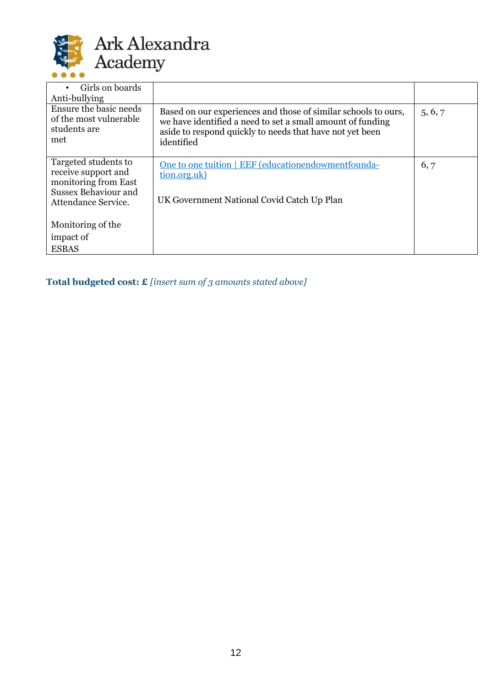

| Girls on boards<br>$\bullet$<br>Anti-bullying                           |                                                                                                                                                                                                        |         |
|-------------------------------------------------------------------------|--------------------------------------------------------------------------------------------------------------------------------------------------------------------------------------------------------|---------|
| Ensure the basic needs<br>of the most vulnerable<br>students are<br>met | Based on our experiences and those of similar schools to ours,<br>we have identified a need to set a small amount of funding<br>aside to respond quickly to needs that have not yet been<br>identified | 5, 6, 7 |
| Targeted students to<br>receive support and<br>monitoring from East     | One to one tuition   EEF (educationendowmentfounda-<br>tion.org.uk)                                                                                                                                    | 6, 7    |
| <b>Sussex Behaviour and</b><br>Attendance Service.                      | UK Government National Covid Catch Up Plan                                                                                                                                                             |         |
| Monitoring of the                                                       |                                                                                                                                                                                                        |         |
| impact of                                                               |                                                                                                                                                                                                        |         |
| <b>ESBAS</b>                                                            |                                                                                                                                                                                                        |         |

**Total budgeted cost: £** *[insert sum of 3 amounts stated above]*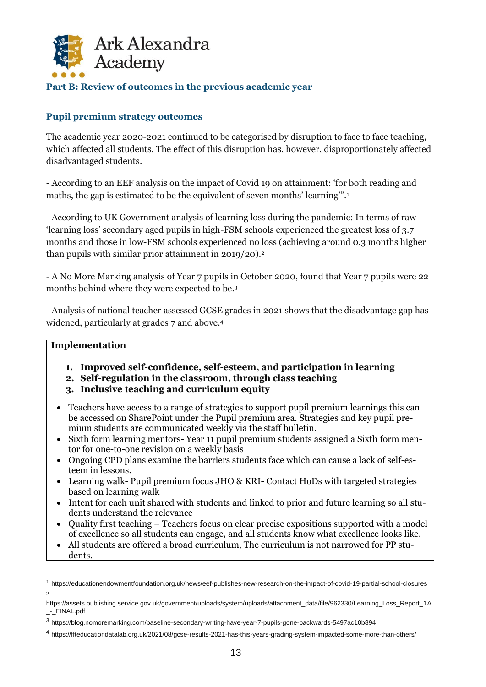

#### **Part B: Review of outcomes in the previous academic year**

#### **Pupil premium strategy outcomes**

The academic year 2020-2021 continued to be categorised by disruption to face to face teaching, which affected all students. The effect of this disruption has, however, disproportionately affected disadvantaged students.

- According to an EEF analysis on the impact of Covid 19 on attainment: 'for both reading and maths, the gap is estimated to be the equivalent of seven months' learning'".<sup>1</sup>

- According to UK Government analysis of learning loss during the pandemic: In terms of raw 'learning loss' secondary aged pupils in high-FSM schools experienced the greatest loss of 3.7 months and those in low-FSM schools experienced no loss (achieving around 0.3 months higher than pupils with similar prior attainment in 2019/20).<sup>2</sup>

- A No More Marking analysis of Year 7 pupils in October 2020, found that Year 7 pupils were 22 months behind where they were expected to be.<sup>3</sup>

- Analysis of national teacher assessed GCSE grades in 2021 shows that the disadvantage gap has widened, particularly at grades 7 and above.<sup>4</sup>

#### **Implementation**

- **1. Improved self-confidence, self-esteem, and participation in learning**
- **2. Self-regulation in the classroom, through class teaching**
- **3. Inclusive teaching and curriculum equity**
- Teachers have access to a range of strategies to support pupil premium learnings this can be accessed on SharePoint under the Pupil premium area. Strategies and key pupil premium students are communicated weekly via the staff bulletin.
- Sixth form learning mentors- Year 11 pupil premium students assigned a Sixth form mentor for one-to-one revision on a weekly basis
- Ongoing CPD plans examine the barriers students face which can cause a lack of self-esteem in lessons.
- Learning walk- Pupil premium focus JHO & KRI- Contact HoDs with targeted strategies based on learning walk
- Intent for each unit shared with students and linked to prior and future learning so all students understand the relevance
- Quality first teaching Teachers focus on clear precise expositions supported with a model of excellence so all students can engage, and all students know what excellence looks like.
- All students are offered a broad curriculum, The curriculum is not narrowed for PP students.

<sup>1</sup> https://educationendowmentfoundation.org.uk/news/eef-publishes-new-research-on-the-impact-of-covid-19-partial-school-closures 2

https://assets.publishing.service.gov.uk/government/uploads/system/uploads/attachment\_data/file/962330/Learning\_Loss\_Report\_1A \_-\_FINAL.pdf

<sup>3</sup> https://blog.nomoremarking.com/baseline-secondary-writing-have-year-7-pupils-gone-backwards-5497ac10b894

<sup>4</sup> https://ffteducationdatalab.org.uk/2021/08/gcse-results-2021-has-this-years-grading-system-impacted-some-more-than-others/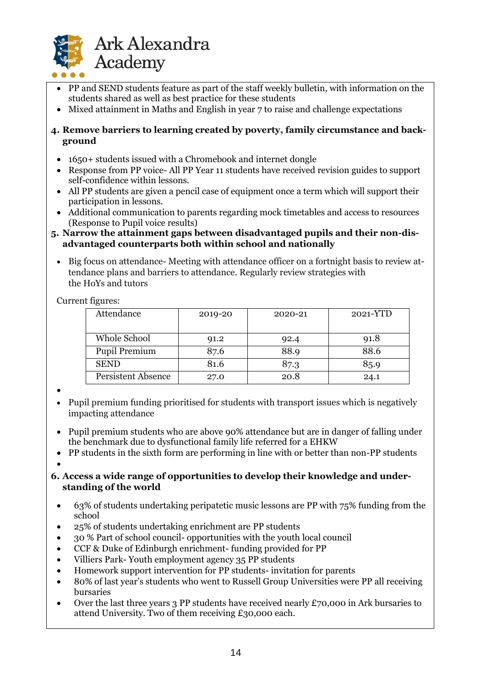

- PP and SEND students feature as part of the staff weekly bulletin, with information on the students shared as well as best practice for these students
- Mixed attainment in Maths and English in year 7 to raise and challenge expectations

#### **4. Remove barriers to learning created by poverty, family circumstance and background**

- 1650+ students issued with a Chromebook and internet dongle
- Response from PP voice- All PP Year 11 students have received revision guides to support self-confidence within lessons.
- All PP students are given a pencil case of equipment once a term which will support their participation in lessons.
- Additional communication to parents regarding mock timetables and access to resources (Response to Pupil voice results)

#### **5. Narrow the attainment gaps between disadvantaged pupils and their non-disadvantaged counterparts both within school and nationally**

• Big focus on attendance- Meeting with attendance officer on a fortnight basis to review attendance plans and barriers to attendance. Regularly review strategies with the HoYs and tutors

Current figures:

| Attendance                | 2019-20 | 2020-21 | 2021-YTD |
|---------------------------|---------|---------|----------|
|                           |         |         |          |
| Whole School              | 91.2    | 92.4    | 91.8     |
| <b>Pupil Premium</b>      | 87.6    | 88.9    | 88.6     |
| <b>SEND</b>               | 81.6    | 87.3    | 85.9     |
| <b>Persistent Absence</b> | 27.0    | 20.8    | 24.1     |

- •
- Pupil premium funding prioritised for students with transport issues which is negatively impacting attendance
- Pupil premium students who are above 90% attendance but are in danger of falling under the benchmark due to dysfunctional family life referred for a EHKW
- PP students in the sixth form are performing in line with or better than non-PP students
- •

#### **6. Access a wide range of opportunities to develop their knowledge and understanding of the world**

- 63% of students undertaking peripatetic music lessons are PP with 75% funding from the school
- 25% of students undertaking enrichment are PP students
- 30 % Part of school council- opportunities with the youth local council
- CCF & Duke of Edinburgh enrichment- funding provided for PP
- Villiers Park- Youth employment agency 35 PP students
- Homework support intervention for PP students- invitation for parents
- 80% of last year's students who went to Russell Group Universities were PP all receiving bursaries
- Over the last three years 3 PP students have received nearly  $\pounds$ 70,000 in Ark bursaries to attend University. Two of them receiving £30,000 each.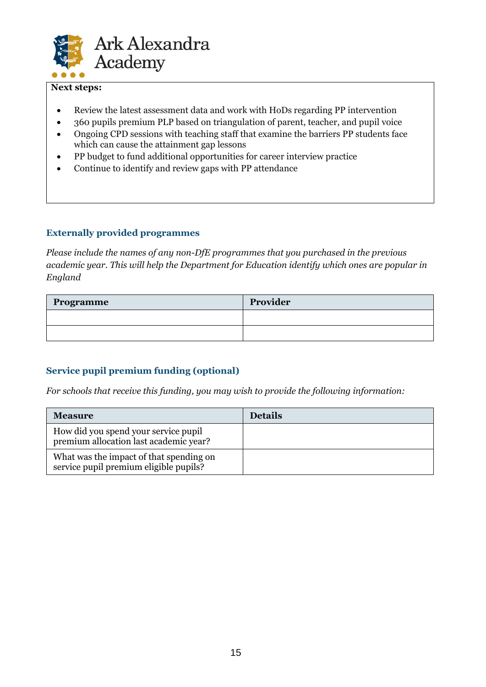

#### **Next steps:**

- Review the latest assessment data and work with HoDs regarding PP intervention
- 360 pupils premium PLP based on triangulation of parent, teacher, and pupil voice
- Ongoing CPD sessions with teaching staff that examine the barriers PP students face which can cause the attainment gap lessons
- PP budget to fund additional opportunities for career interview practice
- Continue to identify and review gaps with PP attendance

#### **Externally provided programmes**

*Please include the names of any non-DfE programmes that you purchased in the previous academic year. This will help the Department for Education identify which ones are popular in England*

| Programme | Provider |
|-----------|----------|
|           |          |
|           |          |

## **Service pupil premium funding (optional)**

*For schools that receive this funding, you may wish to provide the following information:* 

| <b>Measure</b>                                                                    | <b>Details</b> |
|-----------------------------------------------------------------------------------|----------------|
| How did you spend your service pupil<br>premium allocation last academic year?    |                |
| What was the impact of that spending on<br>service pupil premium eligible pupils? |                |